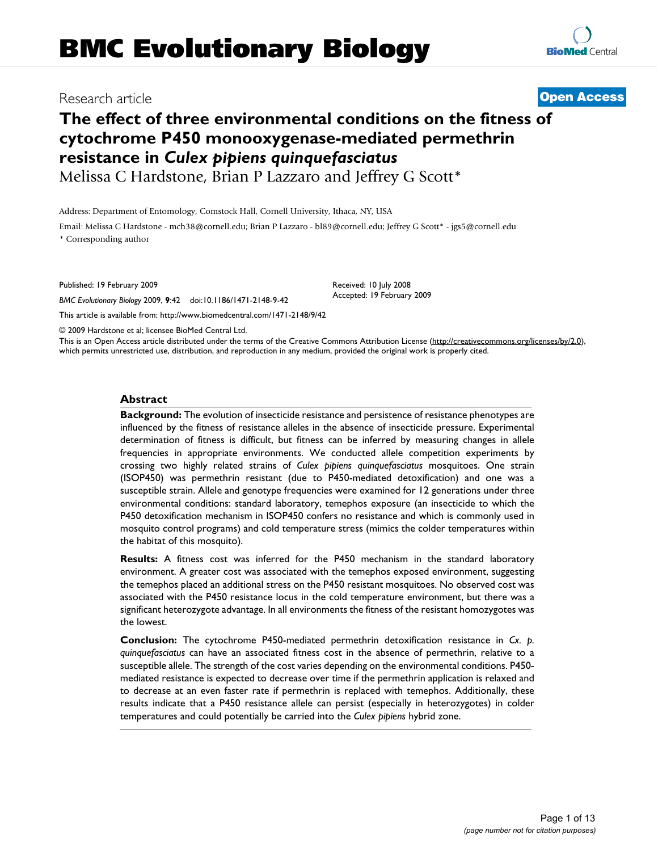# Research article **[Open Access](http://www.biomedcentral.com/info/about/charter/)**

# **The effect of three environmental conditions on the fitness of cytochrome P450 monooxygenase-mediated permethrin resistance in** *Culex pipiens quinquefasciatus*

Melissa C Hardstone, Brian P Lazzaro and Jeffrey G Scott\*

Address: Department of Entomology, Comstock Hall, Cornell University, Ithaca, NY, USA

Email: Melissa C Hardstone - mch38@cornell.edu; Brian P Lazzaro - bl89@cornell.edu; Jeffrey G Scott\* - jgs5@cornell.edu \* Corresponding author

Published: 19 February 2009

*BMC Evolutionary Biology* 2009, **9**:42 doi:10.1186/1471-2148-9-42

[This article is available from: http://www.biomedcentral.com/1471-2148/9/42](http://www.biomedcentral.com/1471-2148/9/42)

© 2009 Hardstone et al; licensee BioMed Central Ltd.

This is an Open Access article distributed under the terms of the Creative Commons Attribution License [\(http://creativecommons.org/licenses/by/2.0\)](http://creativecommons.org/licenses/by/2.0), which permits unrestricted use, distribution, and reproduction in any medium, provided the original work is properly cited.

Received: 10 July 2008 Accepted: 19 February 2009

## **Abstract**

**Background:** The evolution of insecticide resistance and persistence of resistance phenotypes are influenced by the fitness of resistance alleles in the absence of insecticide pressure. Experimental determination of fitness is difficult, but fitness can be inferred by measuring changes in allele frequencies in appropriate environments. We conducted allele competition experiments by crossing two highly related strains of *Culex pipiens quinquefasciatus* mosquitoes. One strain (ISOP450) was permethrin resistant (due to P450-mediated detoxification) and one was a susceptible strain. Allele and genotype frequencies were examined for 12 generations under three environmental conditions: standard laboratory, temephos exposure (an insecticide to which the P450 detoxification mechanism in ISOP450 confers no resistance and which is commonly used in mosquito control programs) and cold temperature stress (mimics the colder temperatures within the habitat of this mosquito).

**Results:** A fitness cost was inferred for the P450 mechanism in the standard laboratory environment. A greater cost was associated with the temephos exposed environment, suggesting the temephos placed an additional stress on the P450 resistant mosquitoes. No observed cost was associated with the P450 resistance locus in the cold temperature environment, but there was a significant heterozygote advantage. In all environments the fitness of the resistant homozygotes was the lowest.

**Conclusion:** The cytochrome P450-mediated permethrin detoxification resistance in *Cx. p. quinquefasciatus* can have an associated fitness cost in the absence of permethrin, relative to a susceptible allele. The strength of the cost varies depending on the environmental conditions. P450 mediated resistance is expected to decrease over time if the permethrin application is relaxed and to decrease at an even faster rate if permethrin is replaced with temephos. Additionally, these results indicate that a P450 resistance allele can persist (especially in heterozygotes) in colder temperatures and could potentially be carried into the *Culex pipiens* hybrid zone.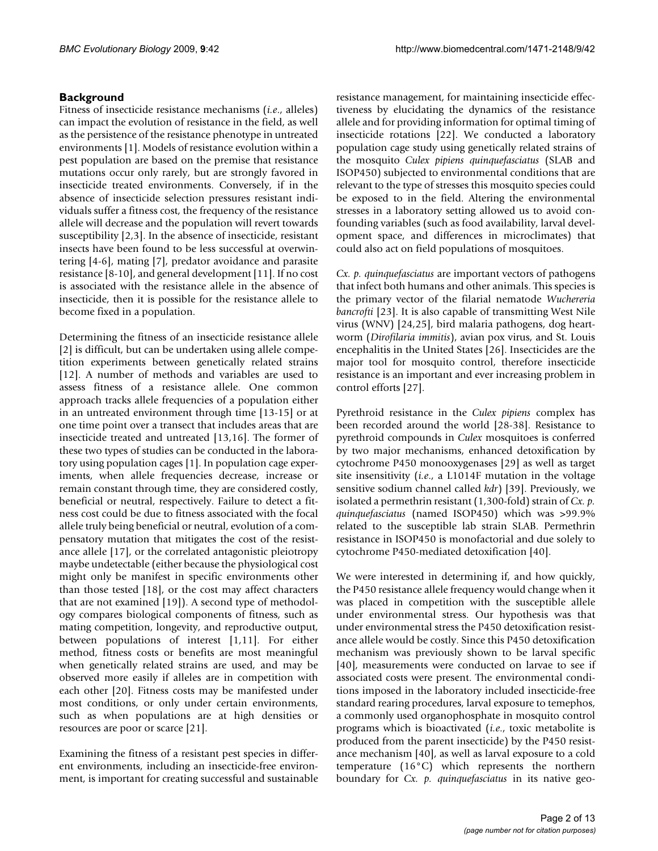# **Background**

Fitness of insecticide resistance mechanisms (*i.e*., alleles) can impact the evolution of resistance in the field, as well as the persistence of the resistance phenotype in untreated environments [1]. Models of resistance evolution within a pest population are based on the premise that resistance mutations occur only rarely, but are strongly favored in insecticide treated environments. Conversely, if in the absence of insecticide selection pressures resistant individuals suffer a fitness cost, the frequency of the resistance allele will decrease and the population will revert towards susceptibility [2,3]. In the absence of insecticide, resistant insects have been found to be less successful at overwintering [4-6], mating [\[7\]](#page-11-0), predator avoidance and parasite resistance [8[-10](#page-11-1)], and general development [11]. If no cost is associated with the resistance allele in the absence of insecticide, then it is possible for the resistance allele to become fixed in a population.

Determining the fitness of an insecticide resistance allele [2] is difficult, but can be undertaken using allele competition experiments between genetically related strains [12]. A number of methods and variables are used to assess fitness of a resistance allele. One common approach tracks allele frequencies of a population either in an untreated environment through time [13-15] or at one time point over a transect that includes areas that are insecticide treated and untreated [13,16]. The former of these two types of studies can be conducted in the laboratory using population cages [1]. In population cage experiments, when allele frequencies decrease, increase or remain constant through time, they are considered costly, beneficial or neutral, respectively. Failure to detect a fitness cost could be due to fitness associated with the focal allele truly being beneficial or neutral, evolution of a compensatory mutation that mitigates the cost of the resistance allele [17], or the correlated antagonistic pleiotropy maybe undetectable (either because the physiological cost might only be manifest in specific environments other than those tested [18], or the cost may affect characters that are not examined [19]). A second type of methodology compares biological components of fitness, such as mating competition, longevity, and reproductive output, between populations of interest [1,11]. For either method, fitness costs or benefits are most meaningful when genetically related strains are used, and may be observed more easily if alleles are in competition with each other [20]. Fitness costs may be manifested under most conditions, or only under certain environments, such as when populations are at high densities or resources are poor or scarce [21].

Examining the fitness of a resistant pest species in different environments, including an insecticide-free environment, is important for creating successful and sustainable

resistance management, for maintaining insecticide effectiveness by elucidating the dynamics of the resistance allele and for providing information for optimal timing of insecticide rotations [22]. We conducted a laboratory population cage study using genetically related strains of the mosquito *Culex pipiens quinquefasciatus* (SLAB and ISOP450) subjected to environmental conditions that are relevant to the type of stresses this mosquito species could be exposed to in the field. Altering the environmental stresses in a laboratory setting allowed us to avoid confounding variables (such as food availability, larval development space, and differences in microclimates) that could also act on field populations of mosquitoes.

*Cx. p. quinquefasciatus* are important vectors of pathogens that infect both humans and other animals. This species is the primary vector of the filarial nematode *Wuchereria bancrofti* [23]. It is also capable of transmitting West Nile virus (WNV) [24,25], bird malaria pathogens, dog heartworm (*Dirofilaria immitis*), avian pox virus, and St. Louis encephalitis in the United States [26]. Insecticides are the major tool for mosquito control, therefore insecticide resistance is an important and ever increasing problem in control efforts [27].

Pyrethroid resistance in the *Culex pipiens* complex has been recorded around the world [\[28](#page-12-0)-38]. Resistance to pyrethroid compounds in *Culex* mosquitoes is conferred by two major mechanisms, enhanced detoxification by cytochrome P450 monooxygenases [29] as well as target site insensitivity (*i.e*., a L1014F mutation in the voltage sensitive sodium channel called *kdr*) [39]. Previously, we isolated a permethrin resistant (1,300-fold) strain of *Cx. p. quinquefasciatus* (named ISOP450) which was >99.9% related to the susceptible lab strain SLAB. Permethrin resistance in ISOP450 is monofactorial and due solely to cytochrome P450-mediated detoxification [40].

We were interested in determining if, and how quickly, the P450 resistance allele frequency would change when it was placed in competition with the susceptible allele under environmental stress. Our hypothesis was that under environmental stress the P450 detoxification resistance allele would be costly. Since this P450 detoxification mechanism was previously shown to be larval specific [40], measurements were conducted on larvae to see if associated costs were present. The environmental conditions imposed in the laboratory included insecticide-free standard rearing procedures, larval exposure to temephos, a commonly used organophosphate in mosquito control programs which is bioactivated (*i.e*., toxic metabolite is produced from the parent insecticide) by the P450 resistance mechanism [40], as well as larval exposure to a cold temperature (16°C) which represents the northern boundary for *Cx. p. quinquefasciatus* in its native geo-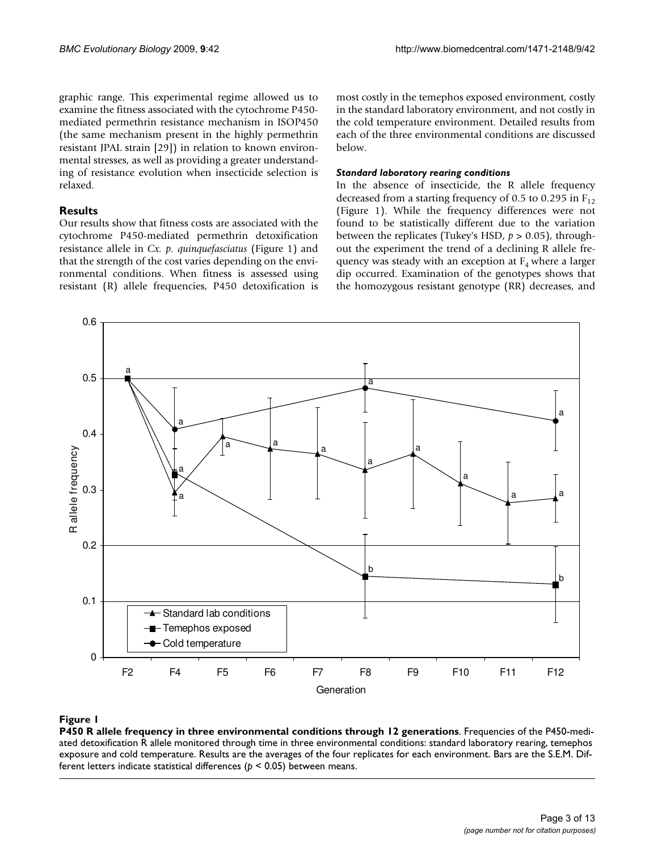graphic range. This experimental regime allowed us to examine the fitness associated with the cytochrome P450 mediated permethrin resistance mechanism in ISOP450 (the same mechanism present in the highly permethrin resistant JPAL strain [29]) in relation to known environmental stresses, as well as providing a greater understanding of resistance evolution when insecticide selection is relaxed.

# **Results**

Our results show that fitness costs are associated with the cytochrome P450-mediated permethrin detoxification resistance allele in *Cx. p. quinquefasciatus* (Figure 1) and that the strength of the cost varies depending on the environmental conditions. When fitness is assessed using resistant (R) allele frequencies, P450 detoxification is most costly in the temephos exposed environment, costly in the standard laboratory environment, and not costly in the cold temperature environment. Detailed results from each of the three environmental conditions are discussed below.

# *Standard laboratory rearing conditions*

In the absence of insecticide, the R allele frequency decreased from a starting frequency of 0.5 to 0.295 in  $F_{12}$ (Figure 1). While the frequency differences were not found to be statistically different due to the variation between the replicates (Tukey's HSD, *p* > 0.05), throughout the experiment the trend of a declining R allele frequency was steady with an exception at  $F_4$  where a larger dip occurred. Examination of the genotypes shows that the homozygous resistant genotype (RR) decreases, and



# Pantal allele frequency in the environmental conditions three environmental conditions through 12 generations through 12 generations through 12 generations through 12 generations through 12 generations through 12 generatio

**P450 R allele frequency in three environmental conditions through 12 generations**. Frequencies of the P450-mediated detoxification R allele monitored through time in three environmental conditions: standard laboratory rearing, temephos exposure and cold temperature. Results are the averages of the four replicates for each environment. Bars are the S.E.M. Different letters indicate statistical differences (*p* < 0.05) between means.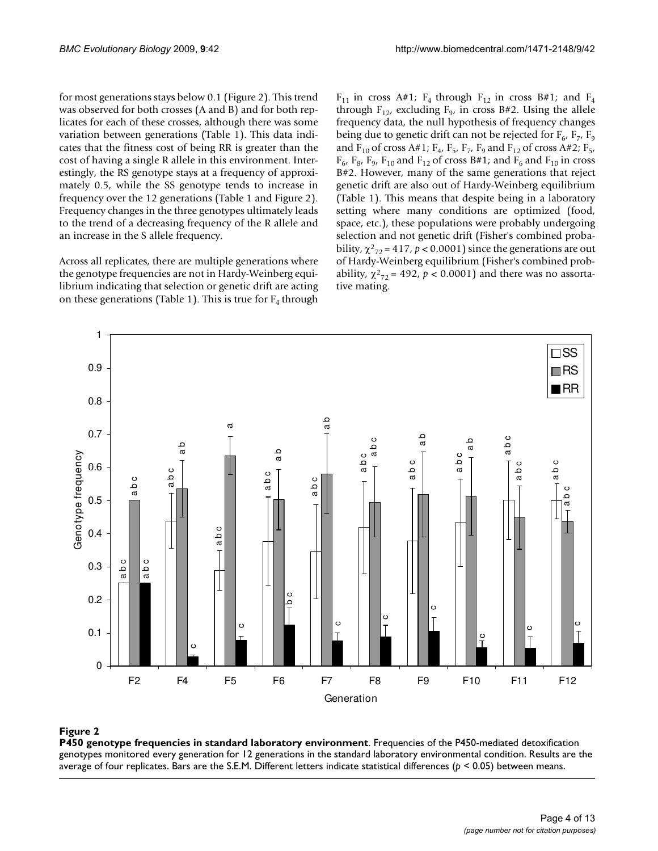for most generations stays below 0.1 (Figure 2). This trend was observed for both crosses (A and B) and for both replicates for each of these crosses, although there was some variation between generations (Table 1). This data indicates that the fitness cost of being RR is greater than the cost of having a single R allele in this environment. Interestingly, the RS genotype stays at a frequency of approximately 0.5, while the SS genotype tends to increase in frequency over the 12 generations (Table 1 and Figure 2). Frequency changes in the three genotypes ultimately leads to the trend of a decreasing frequency of the R allele and an increase in the S allele frequency.

Across all replicates, there are multiple generations where the genotype frequencies are not in Hardy-Weinberg equilibrium indicating that selection or genetic drift are acting on these generations (Table 1). This is true for  $F_4$  through

 $F_{11}$  in cross A#1;  $F_4$  through  $F_{12}$  in cross B#1; and  $F_4$ through  $F_{12}$ , excluding  $F_{9}$ , in cross B#2. Using the allele frequency data, the null hypothesis of frequency changes being due to genetic drift can not be rejected for  $F_{6}$ ,  $F_{7}$ ,  $F_{9}$ and  $F_{10}$  of cross A#1;  $F_{4}$ ,  $F_{5}$ ,  $F_{7}$ ,  $F_{9}$  and  $F_{12}$  of cross A#2;  $F_{5}$ ,  $F_6$ ,  $F_8$ ,  $F_9$ ,  $F_{10}$  and  $F_{12}$  of cross B#1; and  $F_6$  and  $F_{10}$  in cross B#2. However, many of the same generations that reject genetic drift are also out of Hardy-Weinberg equilibrium (Table 1). This means that despite being in a laboratory setting where many conditions are optimized (food, space, etc.), these populations were probably undergoing selection and not genetic drift (Fisher's combined probability,  $\chi^2_{72}$  = 417,  $p < 0.0001$ ) since the generations are out of Hardy-Weinberg equilibrium (Fisher's combined probability,  $\chi^2_{72}$  = 492,  $p < 0.0001$ ) and there was no assortative mating.



#### **Figure 2**

**P450 genotype frequencies in standard laboratory environment**. Frequencies of the P450-mediated detoxification genotypes monitored every generation for 12 generations in the standard laboratory environmental condition. Results are the average of four replicates. Bars are the S.E.M. Different letters indicate statistical differences (*p* < 0.05) between means.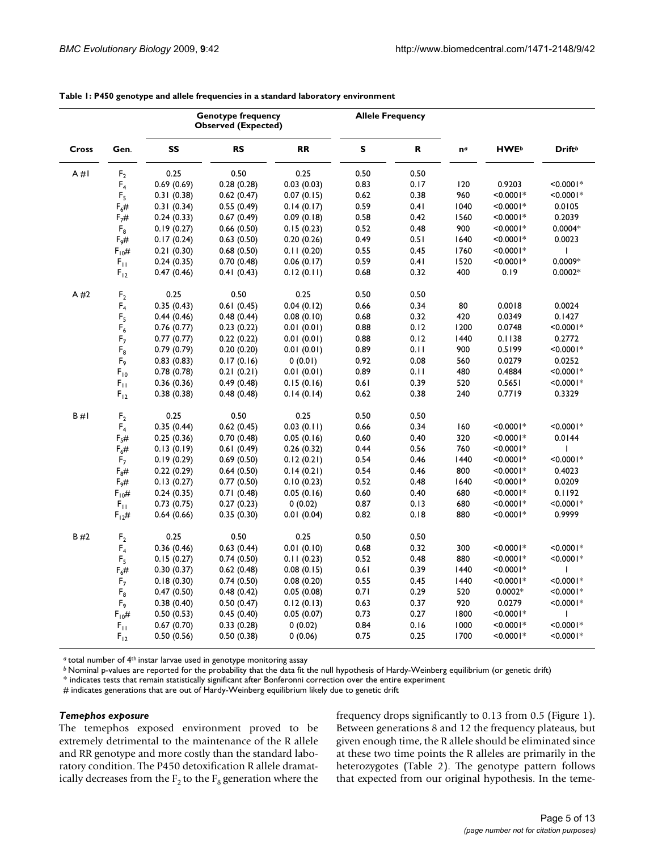|          |                  | <b>Genotype frequency</b><br><b>Observed (Expected)</b> |            |            | <b>Allele Frequency</b> |      |                |                         |                    |
|----------|------------------|---------------------------------------------------------|------------|------------|-------------------------|------|----------------|-------------------------|--------------------|
| Cross    | Gen.             | SS                                                      | <b>RS</b>  | ${\bf RR}$ | $\mathsf S$             | R    | n <sup>a</sup> | <b>HWE</b> <sup>b</sup> | Drift <sup>b</sup> |
| $A \# I$ | F <sub>2</sub>   | 0.25                                                    | 0.50       | 0.25       | 0.50                    | 0.50 |                |                         |                    |
|          | F <sub>4</sub>   | 0.69(0.69)                                              | 0.28(0.28) | 0.03(0.03) | 0.83                    | 0.17 | 120            | 0.9203                  | 10000              |
|          | F <sub>5</sub>   | 0.31(0.38)                                              | 0.62(0.47) | 0.07(0.15) | 0.62                    | 0.38 | 960            | $<0.0001*$              | <0.0001*           |
|          | F <sub>6</sub> # | 0.31(0.34)                                              | 0.55(0.49) | 0.14(0.17) | 0.59                    | 0.41 | 1040           | $100001*$               | 0.0105             |
|          | $F_7$ #          | 0.24(0.33)                                              | 0.67(0.49) | 0.09(0.18) | 0.58                    | 0.42 | 1560           | <0.0001*                | 0.2039             |
|          | $F_8$            | 0.19 (0.27)                                             | 0.66(0.50) | 0.15(0.23) | 0.52                    | 0.48 | 900            | $<0.0001*$              | $0.0004*$          |
|          | $F_9$ #          | 0.17(0.24)                                              | 0.63(0.50) | 0.20(0.26) | 0.49                    | 0.51 | 1640           | $100001*$               | 0.0023             |
|          | $F_{10}$ #       | 0.21 (0.30)                                             | 0.68(0.50) | 0.11(0.20) | 0.55                    | 0.45 | 1760           | $<0.0001*$              | T                  |
|          | $F_{11}$         | 0.24 (0.35)                                             | 0.70(0.48) | 0.06(0.17) | 0.59                    | 0.41 | 1520           | $<0.0001*$              | 0.0009*            |
|          | $F_{12}$         | 0.47 (0.46)                                             | 0.41(0.43) | 0.12(0.11) | 0.68                    | 0.32 | 400            | 0.19                    | $0.0002*$          |
| A#2      | F <sub>2</sub>   | 0.25                                                    | 0.50       | 0.25       | 0.50                    | 0.50 |                |                         |                    |
|          | $F_4$            | 0.35(0.43)                                              | 0.61(0.45) | 0.04(0.12) | 0.66                    | 0.34 | 80             | 0.0018                  | 0.0024             |
|          | $F_5$            | 0.44(0.46)                                              | 0.48(0.44) | 0.08(0.10) | 0.68                    | 0.32 | 420            | 0.0349                  | 0.1427             |
|          | $F_6$            | 0.76(0.77)                                              | 0.23(0.22) | 0.01(0.01) | 0.88                    | 0.12 | 1200           | 0.0748                  | $< 0.0001*$        |
|          | F <sub>7</sub>   | 0.77(0.77)                                              | 0.22(0.22) | 0.01(0.01) | 0.88                    | 0.12 | 1440           | 0.1138                  | 0.2772             |
|          | $F_8$            | 0.79(0.79)                                              | 0.20(0.20) | 0.01(0.01) | 0.89                    | 0.11 | 900            | 0.5199                  | $<0.0001*$         |
|          | F,               | 0.83(0.83)                                              | 0.17(0.16) | (0.01)     | 0.92                    | 0.08 | 560            | 0.0279                  | 0.0252             |
|          | $F_{10}$         | 0.78(0.78)                                              | 0.21(0.21) | 0.01(0.01) | 0.89                    | 0.11 | 480            | 0.4884                  | $< 0.0001*$        |
|          | $F_{11}$         | 0.36(0.36)                                              | 0.49(0.48) | 0.15(0.16) | 0.61                    | 0.39 | 520            | 0.5651                  | <0.0001*           |
|          | $F_{12}$         | 0.38(0.38)                                              | 0.48(0.48) | 0.14(0.14) | 0.62                    | 0.38 | 240            | 0.7719                  | 0.3329             |
| $B \# I$ | F <sub>2</sub>   | 0.25                                                    | 0.50       | 0.25       | 0.50                    | 0.50 |                |                         |                    |
|          | F <sub>4</sub>   | 0.35(0.44)                                              | 0.62(0.45) | 0.03(0.11) | 0.66                    | 0.34 | 160            | $<0.0001*$              | $<0.0001*$         |
|          | $F_5#$           | 0.25 (0.36)                                             | 0.70(0.48) | 0.05(0.16) | 0.60                    | 0.40 | 320            | $<0.0001*$              | 0.0144             |
|          | $F_{6}$ #        | 0.13 (0.19)                                             | 0.61(0.49) | 0.26(0.32) | 0.44                    | 0.56 | 760            | $<0.0001*$              | T                  |
|          | F <sub>7</sub>   | 0.19 (0.29)                                             | 0.69(0.50) | 0.12(0.21) | 0.54                    | 0.46 | 1440           | $<0.0001*$              | $<0.0001*$         |
|          | $F_8#$           | 0.22(0.29)                                              | 0.64(0.50) | 0.14(0.21) | 0.54                    | 0.46 | 800            | $10.0001*$              | 0.4023             |
|          | $F_9$ #          | 0.13(0.27)                                              | 0.77(0.50) | 0.10(0.23) | 0.52                    | 0.48 | 1640           | $< 0.0001*$             | 0.0209             |
|          | $F_{10}$ #       | 0.24(0.35)                                              | 0.71(0.48) | 0.05(0.16) | 0.60                    | 0.40 | 680            | $10.0001*$              | 0.1192             |
|          | $F_{11}$         | 0.73(0.75)                                              | 0.27(0.23) | 0(0.02)    | 0.87                    | 0.13 | 680            | $100001*$               | $< 0.0001*$        |
|          | $F_{12}$ #       | 0.64 (0.66)                                             | 0.35(0.30) | 0.01(0.04) | 0.82                    | 0.18 | 880            | $100001*$               | 0.9999             |
| B#2      | F <sub>2</sub>   | 0.25                                                    | 0.50       | 0.25       | 0.50                    | 0.50 |                |                         |                    |
|          | F <sub>4</sub>   | 0.36(0.46)                                              | 0.63(0.44) | 0.01(0.10) | 0.68                    | 0.32 | 300            | $<0.0001*$              | $< 0.0001*$        |
|          | F <sub>5</sub>   | 0.15(0.27)                                              | 0.74(0.50) | 0.11(0.23) | 0.52                    | 0.48 | 880            | $<0.0001*$              | $< 0.0001*$        |
|          | $F_6#$           | 0.30 (0.37)                                             | 0.62(0.48) | 0.08(0.15) | 0.61                    | 0.39 | 1440           | $< 0.0001*$             | I.                 |
|          | F <sub>7</sub>   | 0.18(0.30)                                              | 0.74(0.50) | 0.08(0.20) | 0.55                    | 0.45 | 1440           | $<0.0001*$              | $<0.0001*$         |
|          | $F_8$            | 0.47 (0.50)                                             | 0.48(0.42) | 0.05(0.08) | 0.71                    | 0.29 | 520            | $0.0002*$               | $<0.0001*$         |
|          | F <sub>9</sub>   | 0.38(0.40)                                              | 0.50(0.47) | 0.12(0.13) | 0.63                    | 0.37 | 920            | 0.0279                  | <0.0001*           |
|          | $F_{10}$ #       | 0.50(0.53)                                              | 0.45(0.40) | 0.05(0.07) | 0.73                    | 0.27 | 1800           | $< 0.0001*$             | L                  |
|          | $F_{11}$         | 0.67(0.70)                                              | 0.33(0.28) | 0(0.02)    | 0.84                    | 0.16 | 1000           | $< 0.0001*$             | <0.0001*           |
|          | $F_{12}$         | 0.50(0.56)                                              | 0.50(0.38) | 0(0.06)    | 0.75                    | 0.25 | 1700           | $< 0.0001*$             | 10000              |

#### **Table 1: P450 genotype and allele frequencies in a standard laboratory environment**

*<sup>a</sup>*total number of 4th instar larvae used in genotype monitoring assay

*b* Nominal p-values are reported for the probability that the data fit the null hypothesis of Hardy-Weinberg equilibrium (or genetic drift)

\* indicates tests that remain statistically significant after Bonferonni correction over the entire experiment

# indicates generations that are out of Hardy-Weinberg equilibrium likely due to genetic drift

#### *Temephos exposure*

The temephos exposed environment proved to be extremely detrimental to the maintenance of the R allele and RR genotype and more costly than the standard laboratory condition. The P450 detoxification R allele dramatically decreases from the  $F_2$  to the  $F_8$  generation where the frequency drops significantly to 0.13 from 0.5 (Figure 1). Between generations 8 and 12 the frequency plateaus, but given enough time, the R allele should be eliminated since at these two time points the R alleles are primarily in the heterozygotes (Table 2). The genotype pattern follows that expected from our original hypothesis. In the teme-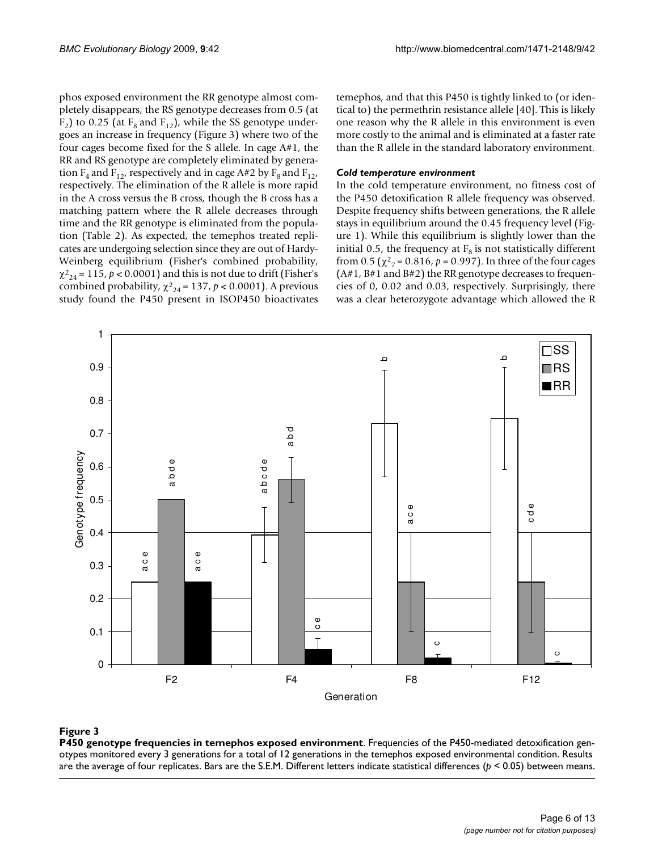phos exposed environment the RR genotype almost completely disappears, the RS genotype decreases from 0.5 (at  $F_2$ ) to 0.25 (at  $F_8$  and  $F_{12}$ ), while the SS genotype undergoes an increase in frequency (Figure 3) where two of the four cages become fixed for the S allele. In cage A#1, the RR and RS genotype are completely eliminated by generation  $F_4$  and  $F_{12}$ , respectively and in cage A#2 by  $F_8$  and  $F_{12}$ , respectively. The elimination of the R allele is more rapid in the A cross versus the B cross, though the B cross has a matching pattern where the R allele decreases through time and the RR genotype is eliminated from the population (Table 2). As expected, the temephos treated replicates are undergoing selection since they are out of Hardy-Weinberg equilibrium (Fisher's combined probability,  $\chi^2_{24}$  = 115,  $p < 0.0001$ ) and this is not due to drift (Fisher's combined probability,  $\chi^2_{24}$  = 137,  $p < 0.0001$ ). A previous study found the P450 present in ISOP450 bioactivates

temephos, and that this P450 is tightly linked to (or identical to) the permethrin resistance allele [40]. This is likely one reason why the R allele in this environment is even more costly to the animal and is eliminated at a faster rate than the R allele in the standard laboratory environment.

# *Cold temperature environment*

In the cold temperature environment, no fitness cost of the P450 detoxification R allele frequency was observed. Despite frequency shifts between generations, the R allele stays in equilibrium around the 0.45 frequency level (Figure 1). While this equilibrium is slightly lower than the initial 0.5, the frequency at  $F_8$  is not statistically different from 0.5 ( $\chi^2$ <sub>7</sub> = 0.816, *p* = 0.997). In three of the four cages (A#1, B#1 and B#2) the RR genotype decreases to frequencies of 0, 0.02 and 0.03, respectively. Surprisingly, there was a clear heterozygote advantage which allowed the R



# **Figure 3**

**P450 genotype frequencies in temephos exposed environment**. Frequencies of the P450-mediated detoxification genotypes monitored every 3 generations for a total of 12 generations in the temephos exposed environmental condition. Results are the average of four replicates. Bars are the S.E.M. Different letters indicate statistical differences (*p* < 0.05) between means.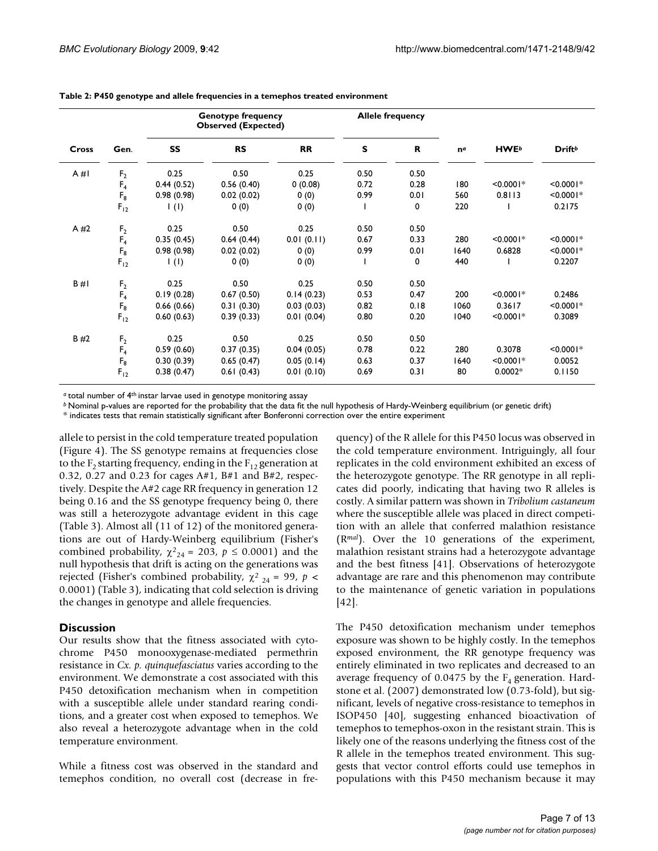| <b>Cross</b> | Gen.           | <b>Genotype frequency</b><br><b>Observed (Expected)</b> |            |            | <b>Allele frequency</b> |             |                |                         |                           |
|--------------|----------------|---------------------------------------------------------|------------|------------|-------------------------|-------------|----------------|-------------------------|---------------------------|
|              |                | SS                                                      | <b>RS</b>  | <b>RR</b>  | S                       | R           | n <sup>a</sup> | <b>HWE</b> <sup>b</sup> | <b>Drift</b> <sup>b</sup> |
| $A \# I$     | $\mathsf{F}_2$ | 0.25                                                    | 0.50       | 0.25       | 0.50                    | 0.50        |                |                         |                           |
|              | $\mathsf{F}_4$ | 0.44(0.52)                                              | 0.56(0.40) | 0(0.08)    | 0.72                    | 0.28        | 180            | $< 0.0001*$             | $< 0.0001*$               |
|              | $\mathsf{F}_8$ | 0.98(0.98)                                              | 0.02(0.02) | 0(0)       | 0.99                    | 0.01        | 560            | 0.8113                  | $< 0.0001*$               |
|              | $F_{12}$       | $\mathsf{I}(\mathsf{I})$                                | 0(0)       | 0(0)       |                         | $\mathbf 0$ | 220            |                         | 0.2175                    |
| A#2          | $\mathsf{F}_2$ | 0.25                                                    | 0.50       | 0.25       | 0.50                    | 0.50        |                |                         |                           |
|              | $\mathsf{F}_4$ | 0.35(0.45)                                              | 0.64(0.44) | 0.01(0.11) | 0.67                    | 0.33        | 280            | $< 0.0001*$             | $< 0.0001*$               |
|              | $\mathsf{F}_8$ | 0.98(0.98)                                              | 0.02(0.02) | 0(0)       | 0.99                    | 0.01        | 1640           | 0.6828                  | $< 0.0001*$               |
|              | $F_{12}$       | $\mathsf{I}(\mathsf{I})$                                | 0(0)       | 0(0)       |                         | 0           | 440            |                         | 0.2207                    |
| $B \# I$     | $\mathsf{F}_2$ | 0.25                                                    | 0.50       | 0.25       | 0.50                    | 0.50        |                |                         |                           |
|              | $\mathsf{F}_4$ | 0.19(0.28)                                              | 0.67(0.50) | 0.14(0.23) | 0.53                    | 0.47        | 200            | $< 0.0001*$             | 0.2486                    |
|              | $F_8$          | 0.66(0.66)                                              | 0.31(0.30) | 0.03(0.03) | 0.82                    | 0.18        | 1060           | 0.3617                  | $< 0.0001*$               |
|              | $F_{12}$       | 0.60(0.63)                                              | 0.39(0.33) | 0.01(0.04) | 0.80                    | 0.20        | 1040           | $< 0.0001*$             | 0.3089                    |
| B#2          | F <sub>2</sub> | 0.25                                                    | 0.50       | 0.25       | 0.50                    | 0.50        |                |                         |                           |
|              | $\mathsf{F}_4$ | 0.59(0.60)                                              | 0.37(0.35) | 0.04(0.05) | 0.78                    | 0.22        | 280            | 0.3078                  | $< 0.0001*$               |
|              | $F_8$          | 0.30(0.39)                                              | 0.65(0.47) | 0.05(0.14) | 0.63                    | 0.37        | 1640           | $< 0.0001*$             | 0.0052                    |
|              | $F_{12}$       | 0.38(0.47)                                              | 0.61(0.43) | 0.01(0.10) | 0.69                    | 0.31        | 80             | $0.0002*$               | 0.1150                    |

**Table 2: P450 genotype and allele frequencies in a temephos treated environment**

*<sup>a</sup>*total number of 4th instar larvae used in genotype monitoring assay

*b* Nominal p-values are reported for the probability that the data fit the null hypothesis of Hardy-Weinberg equilibrium (or genetic drift)

\* indicates tests that remain statistically significant after Bonferonni correction over the entire experiment

allele to persist in the cold temperature treated population (Figure 4). The SS genotype remains at frequencies close to the  $F<sub>2</sub>$  starting frequency, ending in the  $F<sub>12</sub>$  generation at 0.32, 0.27 and 0.23 for cages A#1, B#1 and B#2, respectively. Despite the A#2 cage RR frequency in generation 12 being 0.16 and the SS genotype frequency being 0, there was still a heterozygote advantage evident in this cage (Table 3). Almost all (11 of 12) of the monitored generations are out of Hardy-Weinberg equilibrium (Fisher's combined probability,  $\chi^2_{24}$  = 203,  $p \le 0.0001$ ) and the null hypothesis that drift is acting on the generations was rejected (Fisher's combined probability,  $\chi^2_{24}$  = 99,  $p \lt \chi$ 0.0001) (Table 3), indicating that cold selection is driving the changes in genotype and allele frequencies.

## **Discussion**

Our results show that the fitness associated with cytochrome P450 monooxygenase-mediated permethrin resistance in *Cx. p. quinquefasciatus* varies according to the environment. We demonstrate a cost associated with this P450 detoxification mechanism when in competition with a susceptible allele under standard rearing conditions, and a greater cost when exposed to temephos. We also reveal a heterozygote advantage when in the cold temperature environment.

While a fitness cost was observed in the standard and temephos condition, no overall cost (decrease in frequency) of the R allele for this P450 locus was observed in the cold temperature environment. Intriguingly, all four replicates in the cold environment exhibited an excess of the heterozygote genotype. The RR genotype in all replicates did poorly, indicating that having two R alleles is costly. A similar pattern was shown in *Tribolium castaneum* where the susceptible allele was placed in direct competition with an allele that conferred malathion resistance (R*mal*). Over the 10 generations of the experiment, malathion resistant strains had a heterozygote advantage and the best fitness [41]. Observations of heterozygote advantage are rare and this phenomenon may contribute to the maintenance of genetic variation in populations [42].

The P450 detoxification mechanism under temephos exposure was shown to be highly costly. In the temephos exposed environment, the RR genotype frequency was entirely eliminated in two replicates and decreased to an average frequency of 0.0475 by the  $F_4$  generation. Hardstone et al. (2007) demonstrated low (0.73-fold), but significant, levels of negative cross-resistance to temephos in ISOP450 [40], suggesting enhanced bioactivation of temephos to temephos-oxon in the resistant strain. This is likely one of the reasons underlying the fitness cost of the R allele in the temephos treated environment. This suggests that vector control efforts could use temephos in populations with this P450 mechanism because it may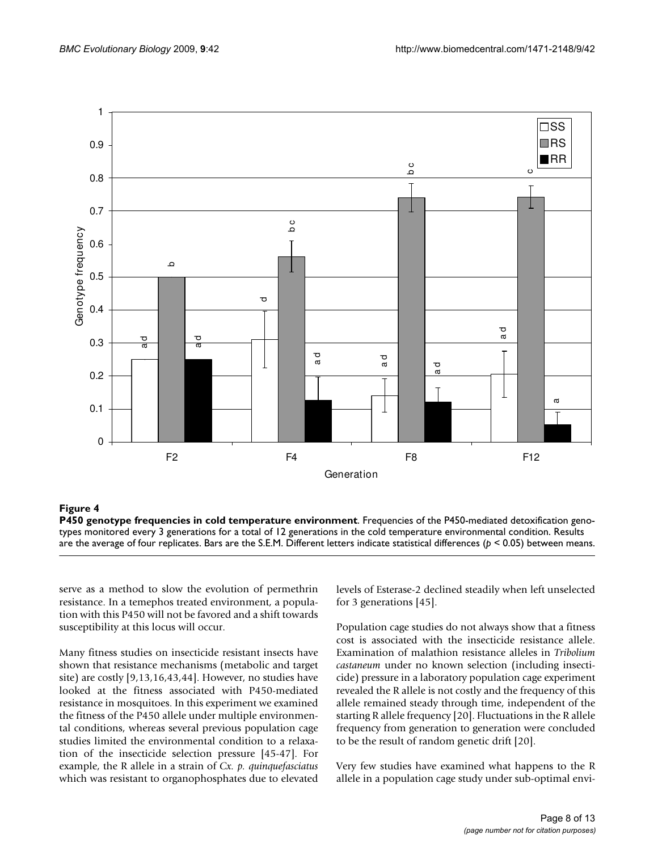

## **Figure 4**

**P450 genotype frequencies in cold temperature environment**. Frequencies of the P450-mediated detoxification genotypes monitored every 3 generations for a total of 12 generations in the cold temperature environmental condition. Results are the average of four replicates. Bars are the S.E.M. Different letters indicate statistical differences (*p* < 0.05) between means.

serve as a method to slow the evolution of permethrin resistance. In a temephos treated environment, a population with this P450 will not be favored and a shift towards susceptibility at this locus will occur.

Many fitness studies on insecticide resistant insects have shown that resistance mechanisms (metabolic and target site) are costly [9,13,16,43,44]. However, no studies have looked at the fitness associated with P450-mediated resistance in mosquitoes. In this experiment we examined the fitness of the P450 allele under multiple environmental conditions, whereas several previous population cage studies limited the environmental condition to a relaxation of the insecticide selection pressure [45-47]. For example, the R allele in a strain of *Cx. p. quinquefasciatus* which was resistant to organophosphates due to elevated

levels of Esterase-2 declined steadily when left unselected for 3 generations [45].

Population cage studies do not always show that a fitness cost is associated with the insecticide resistance allele. Examination of malathion resistance alleles in *Tribolium castaneum* under no known selection (including insecticide) pressure in a laboratory population cage experiment revealed the R allele is not costly and the frequency of this allele remained steady through time, independent of the starting R allele frequency [20]. Fluctuations in the R allele frequency from generation to generation were concluded to be the result of random genetic drift [20].

Very few studies have examined what happens to the R allele in a population cage study under sub-optimal envi-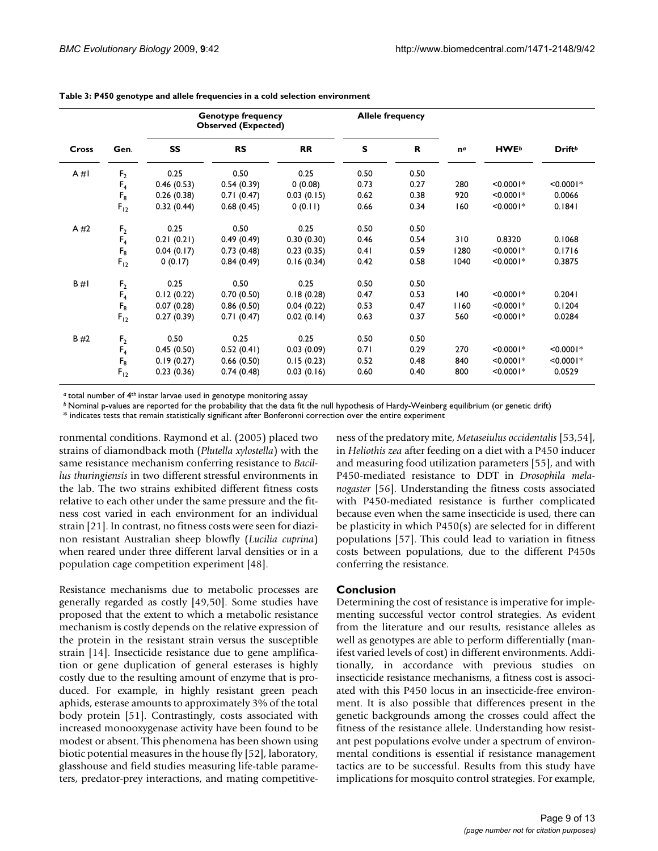| Cross    | Gen.           | <b>Genotype frequency</b><br><b>Observed (Expected)</b> |            |            | <b>Allele frequency</b> |      |                |                         |                           |
|----------|----------------|---------------------------------------------------------|------------|------------|-------------------------|------|----------------|-------------------------|---------------------------|
|          |                | SS                                                      | <b>RS</b>  | <b>RR</b>  | S                       | R    | n <sup>a</sup> | <b>HWE</b> <sup>b</sup> | <b>Drift</b> <sup>b</sup> |
| A#I      | $\mathsf{F}_2$ | 0.25                                                    | 0.50       | 0.25       | 0.50                    | 0.50 |                |                         |                           |
|          | $\mathsf{F}_4$ | 0.46(0.53)                                              | 0.54(0.39) | 0(0.08)    | 0.73                    | 0.27 | 280            | $100001*$               | $< 0.0001*$               |
|          | $F_8$          | 0.26(0.38)                                              | 0.71(0.47) | 0.03(0.15) | 0.62                    | 0.38 | 920            | $< 0.0001*$             | 0.0066                    |
|          | $F_{12}$       | 0.32(0.44)                                              | 0.68(0.45) | 0(0.11)    | 0.66                    | 0.34 | 160            | $< 0.0001*$             | 0.1841                    |
| A#2      | $\mathsf{F}_2$ | 0.25                                                    | 0.50       | 0.25       | 0.50                    | 0.50 |                |                         |                           |
|          | $\mathsf{F}_4$ | 0.21(0.21)                                              | 0.49(0.49) | 0.30(0.30) | 0.46                    | 0.54 | 310            | 0.8320                  | 0.1068                    |
|          | $\mathsf{F}_8$ | 0.04(0.17)                                              | 0.73(0.48) | 0.23(0.35) | 0.41                    | 0.59 | 1280           | $< 0.0001*$             | 0.1716                    |
|          | $F_{12}$       | 0(0.17)                                                 | 0.84(0.49) | 0.16(0.34) | 0.42                    | 0.58 | 1040           | $< 0.0001*$             | 0.3875                    |
| $B \# I$ | F <sub>2</sub> | 0.25                                                    | 0.50       | 0.25       | 0.50                    | 0.50 |                |                         |                           |
|          | $\mathsf{F}_4$ | 0.12(0.22)                                              | 0.70(0.50) | 0.18(0.28) | 0.47                    | 0.53 | 140            | $< 0.0001*$             | 0.2041                    |
|          | $F_8$          | 0.07(0.28)                                              | 0.86(0.50) | 0.04(0.22) | 0.53                    | 0.47 | 1160           | $< 0.0001*$             | 0.1204                    |
|          | $F_{12}$       | 0.27(0.39)                                              | 0.71(0.47) | 0.02(0.14) | 0.63                    | 0.37 | 560            | $< 0.0001*$             | 0.0284                    |
| B#2      | F <sub>2</sub> | 0.50                                                    | 0.25       | 0.25       | 0.50                    | 0.50 |                |                         |                           |
|          | $\mathsf{F}_4$ | 0.45(0.50)                                              | 0.52(0.41) | 0.03(0.09) | 0.71                    | 0.29 | 270            | $< 0.0001*$             | $< 0.0001*$               |
|          | $F_8$          | 0.19(0.27)                                              | 0.66(0.50) | 0.15(0.23) | 0.52                    | 0.48 | 840            | $< 0.0001*$             | $< 0.0001*$               |
|          | $F_{12}$       | 0.23(0.36)                                              | 0.74(0.48) | 0.03(0.16) | 0.60                    | 0.40 | 800            | $< 0.0001*$             | 0.0529                    |

**Table 3: P450 genotype and allele frequencies in a cold selection environment**

*<sup>a</sup>*total number of 4th instar larvae used in genotype monitoring assay

*b* Nominal p-values are reported for the probability that the data fit the null hypothesis of Hardy-Weinberg equilibrium (or genetic drift)

\* indicates tests that remain statistically significant after Bonferonni correction over the entire experiment

ronmental conditions. Raymond et al. (2005) placed two strains of diamondback moth (*Plutella xylostella*) with the same resistance mechanism conferring resistance to *Bacillus thuringiensis* in two different stressful environments in the lab. The two strains exhibited different fitness costs relative to each other under the same pressure and the fitness cost varied in each environment for an individual strain [21]. In contrast, no fitness costs were seen for diazinon resistant Australian sheep blowfly (*Lucilia cuprina*) when reared under three different larval densities or in a population cage competition experiment [48].

Resistance mechanisms due to metabolic processes are generally regarded as costly [49,50]. Some studies have proposed that the extent to which a metabolic resistance mechanism is costly depends on the relative expression of the protein in the resistant strain versus the susceptible strain [14]. Insecticide resistance due to gene amplification or gene duplication of general esterases is highly costly due to the resulting amount of enzyme that is produced. For example, in highly resistant green peach aphids, esterase amounts to approximately 3% of the total body protein [51]. Contrastingly, costs associated with increased monooxygenase activity have been found to be modest or absent. This phenomena has been shown using biotic potential measures in the house fly [52], laboratory, glasshouse and field studies measuring life-table parameters, predator-prey interactions, and mating competitiveness of the predatory mite, *Metaseiulus occidentalis* [53,54], in *Heliothis zea* after feeding on a diet with a P450 inducer and measuring food utilization parameters [55], and with P450-mediated resistance to DDT in *Drosophila melanogaster* [56]. Understanding the fitness costs associated with P450-mediated resistance is further complicated because even when the same insecticide is used, there can be plasticity in which P450(s) are selected for in different populations [57]. This could lead to variation in fitness costs between populations, due to the different P450s conferring the resistance.

# **Conclusion**

Determining the cost of resistance is imperative for implementing successful vector control strategies. As evident from the literature and our results, resistance alleles as well as genotypes are able to perform differentially (manifest varied levels of cost) in different environments. Additionally, in accordance with previous studies on insecticide resistance mechanisms, a fitness cost is associated with this P450 locus in an insecticide-free environment. It is also possible that differences present in the genetic backgrounds among the crosses could affect the fitness of the resistance allele. Understanding how resistant pest populations evolve under a spectrum of environmental conditions is essential if resistance management tactics are to be successful. Results from this study have implications for mosquito control strategies. For example,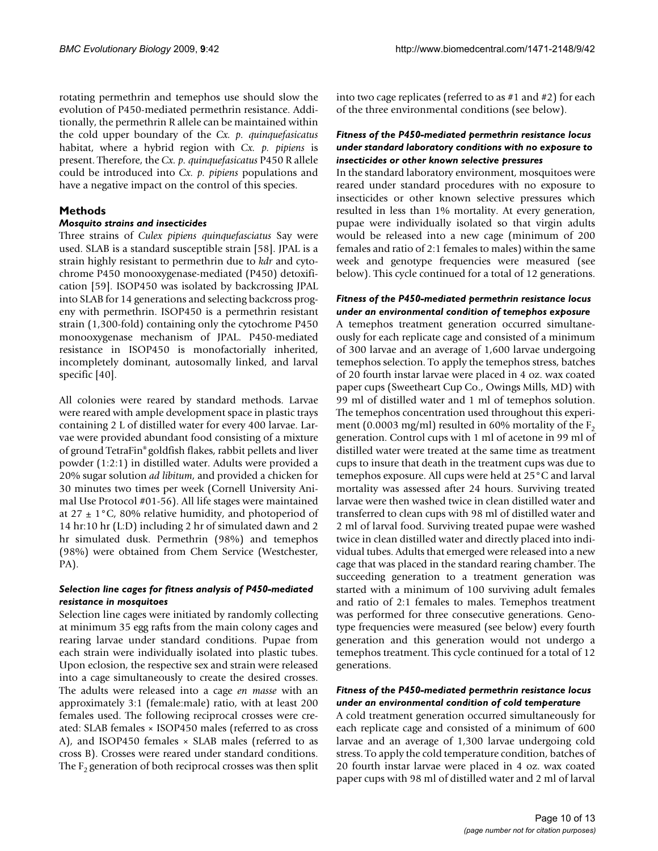rotating permethrin and temephos use should slow the evolution of P450-mediated permethrin resistance. Additionally, the permethrin R allele can be maintained within the cold upper boundary of the *Cx. p. quinquefasicatus* habitat, where a hybrid region with *Cx. p. pipiens* is present. Therefore, the *Cx. p. quinquefasicatus* P450 R allele could be introduced into *Cx. p. pipiens* populations and have a negative impact on the control of this species.

# **Methods**

# *Mosquito strains and insecticides*

Three strains of *Culex pipiens quinquefasciatus* Say were used. SLAB is a standard susceptible strain [58]. JPAL is a strain highly resistant to permethrin due to *kdr* and cytochrome P450 monooxygenase-mediated (P450) detoxification [59]. ISOP450 was isolated by backcrossing JPAL into SLAB for 14 generations and selecting backcross progeny with permethrin. ISOP450 is a permethrin resistant strain (1,300-fold) containing only the cytochrome P450 monooxygenase mechanism of JPAL. P450-mediated resistance in ISOP450 is monofactorially inherited, incompletely dominant, autosomally linked, and larval specific [40].

All colonies were reared by standard methods. Larvae were reared with ample development space in plastic trays containing 2 L of distilled water for every 400 larvae. Larvae were provided abundant food consisting of a mixture of ground TetraFin® goldfish flakes, rabbit pellets and liver powder (1:2:1) in distilled water. Adults were provided a 20% sugar solution *ad libitum*, and provided a chicken for 30 minutes two times per week (Cornell University Animal Use Protocol #01-56). All life stages were maintained at  $27 \pm 1$ °C, 80% relative humidity, and photoperiod of 14 hr:10 hr (L:D) including 2 hr of simulated dawn and 2 hr simulated dusk. Permethrin (98%) and temephos (98%) were obtained from Chem Service (Westchester, PA).

# *Selection line cages for fitness analysis of P450-mediated resistance in mosquitoes*

Selection line cages were initiated by randomly collecting at minimum 35 egg rafts from the main colony cages and rearing larvae under standard conditions. Pupae from each strain were individually isolated into plastic tubes. Upon eclosion, the respective sex and strain were released into a cage simultaneously to create the desired crosses. The adults were released into a cage *en masse* with an approximately 3:1 (female:male) ratio, with at least 200 females used. The following reciprocal crosses were created: SLAB females × ISOP450 males (referred to as cross A), and ISOP450 females × SLAB males (referred to as cross B). Crosses were reared under standard conditions. The  $F<sub>2</sub>$  generation of both reciprocal crosses was then split into two cage replicates (referred to as #1 and #2) for each of the three environmental conditions (see below).

# *Fitness of the P450-mediated permethrin resistance locus under standard laboratory conditions with no exposure to insecticides or other known selective pressures*

In the standard laboratory environment, mosquitoes were reared under standard procedures with no exposure to insecticides or other known selective pressures which resulted in less than 1% mortality. At every generation, pupae were individually isolated so that virgin adults would be released into a new cage (minimum of 200 females and ratio of 2:1 females to males) within the same week and genotype frequencies were measured (see below). This cycle continued for a total of 12 generations.

# *Fitness of the P450-mediated permethrin resistance locus under an environmental condition of temephos exposure*

A temephos treatment generation occurred simultaneously for each replicate cage and consisted of a minimum of 300 larvae and an average of 1,600 larvae undergoing temephos selection. To apply the temephos stress, batches of 20 fourth instar larvae were placed in 4 oz. wax coated paper cups (Sweetheart Cup Co., Owings Mills, MD) with 99 ml of distilled water and 1 ml of temephos solution. The temephos concentration used throughout this experiment (0.0003 mg/ml) resulted in 60% mortality of the  $F_2$ generation. Control cups with 1 ml of acetone in 99 ml of distilled water were treated at the same time as treatment cups to insure that death in the treatment cups was due to temephos exposure. All cups were held at 25°C and larval mortality was assessed after 24 hours. Surviving treated larvae were then washed twice in clean distilled water and transferred to clean cups with 98 ml of distilled water and 2 ml of larval food. Surviving treated pupae were washed twice in clean distilled water and directly placed into individual tubes. Adults that emerged were released into a new cage that was placed in the standard rearing chamber. The succeeding generation to a treatment generation was started with a minimum of 100 surviving adult females and ratio of 2:1 females to males. Temephos treatment was performed for three consecutive generations. Genotype frequencies were measured (see below) every fourth generation and this generation would not undergo a temephos treatment. This cycle continued for a total of 12 generations.

## *Fitness of the P450-mediated permethrin resistance locus under an environmental condition of cold temperature*

A cold treatment generation occurred simultaneously for each replicate cage and consisted of a minimum of 600 larvae and an average of 1,300 larvae undergoing cold stress. To apply the cold temperature condition, batches of 20 fourth instar larvae were placed in 4 oz. wax coated paper cups with 98 ml of distilled water and 2 ml of larval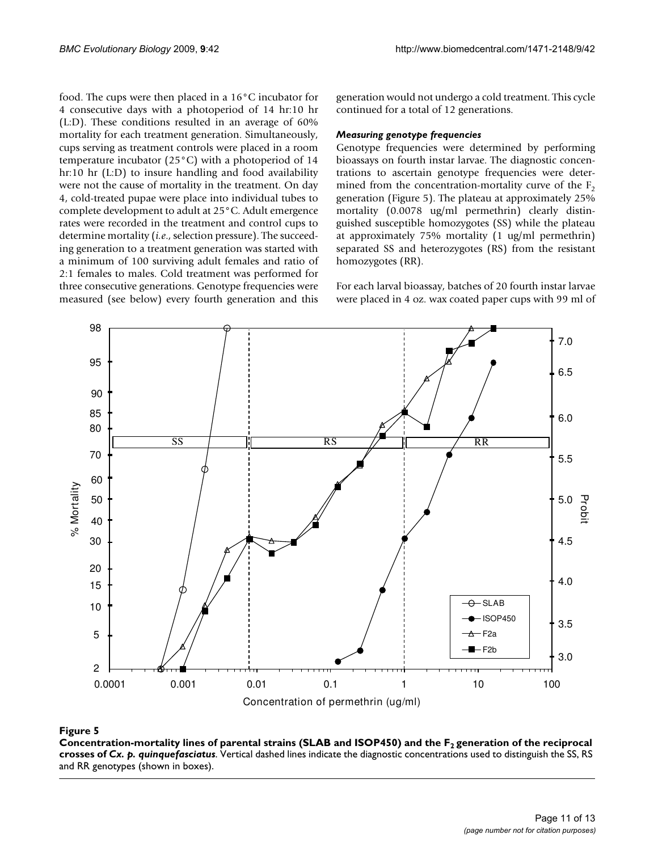food. The cups were then placed in a 16°C incubator for 4 consecutive days with a photoperiod of 14 hr:10 hr (L:D). These conditions resulted in an average of 60% mortality for each treatment generation. Simultaneously, cups serving as treatment controls were placed in a room temperature incubator (25°C) with a photoperiod of 14 hr:10 hr (L:D) to insure handling and food availability were not the cause of mortality in the treatment. On day 4, cold-treated pupae were place into individual tubes to complete development to adult at 25°C. Adult emergence rates were recorded in the treatment and control cups to determine mortality (*i.e*., selection pressure). The succeeding generation to a treatment generation was started with a minimum of 100 surviving adult females and ratio of 2:1 females to males. Cold treatment was performed for three consecutive generations. Genotype frequencies were measured (see below) every fourth generation and this generation would not undergo a cold treatment. This cycle continued for a total of 12 generations.

## *Measuring genotype frequencies*

Genotype frequencies were determined by performing bioassays on fourth instar larvae. The diagnostic concentrations to ascertain genotype frequencies were determined from the concentration-mortality curve of the  $F_2$ generation (Figure 5). The plateau at approximately 25% mortality (0.0078 ug/ml permethrin) clearly distinguished susceptible homozygotes (SS) while the plateau at approximately 75% mortality (1 ug/ml permethrin) separated SS and heterozygotes (RS) from the resistant homozygotes (RR).

For each larval bioassay, batches of 20 fourth instar larvae were placed in 4 oz. wax coated paper cups with 99 ml of



Concentration-mortality lines of parental strains (SLAB and ISOP450) and the F2 *quinquefasciatus* **Figure 5** generation of the reciprocal crosses of *Cx. p.*   $\sf{Concentration-mortality}$  lines of parental strains (SLAB and ISOP450) and the  $\sf{F}_2$  generation of the reciprocal **crosses of** *Cx. p. quinquefasciatus*. Vertical dashed lines indicate the diagnostic concentrations used to distinguish the SS, RS and RR genotypes (shown in boxes).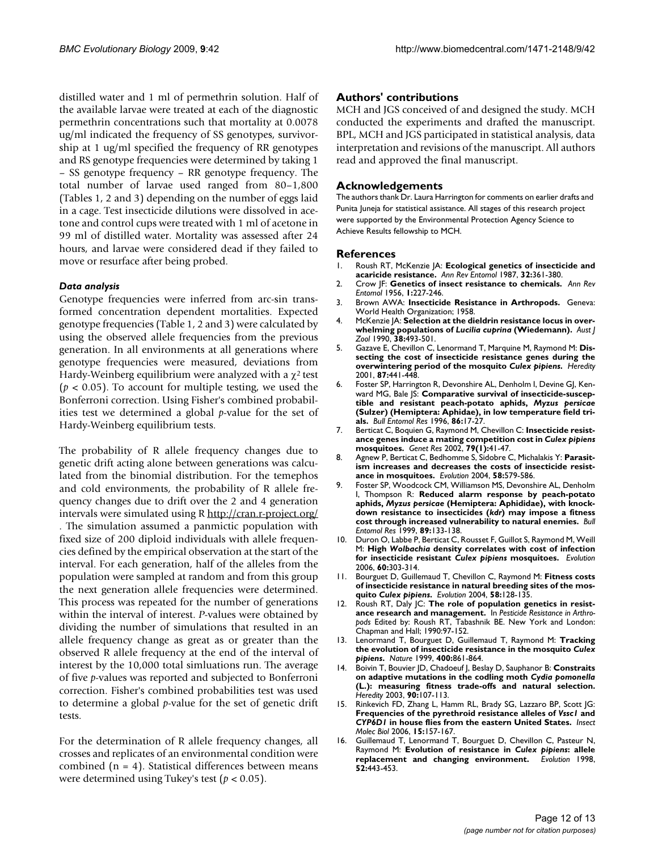distilled water and 1 ml of permethrin solution. Half of the available larvae were treated at each of the diagnostic permethrin concentrations such that mortality at 0.0078 ug/ml indicated the frequency of SS genotypes, survivorship at 1 ug/ml specified the frequency of RR genotypes and RS genotype frequencies were determined by taking 1 – SS genotype frequency – RR genotype frequency. The total number of larvae used ranged from 80–1,800 (Tables 1, 2 and 3) depending on the number of eggs laid in a cage. Test insecticide dilutions were dissolved in acetone and control cups were treated with 1 ml of acetone in 99 ml of distilled water. Mortality was assessed after 24 hours, and larvae were considered dead if they failed to move or resurface after being probed.

## *Data analysis*

Genotype frequencies were inferred from arc-sin transformed concentration dependent mortalities. Expected genotype frequencies (Table 1, 2 and 3) were calculated by using the observed allele frequencies from the previous generation. In all environments at all generations where genotype frequencies were measured, deviations from Hardy-Weinberg equilibrium were analyzed with a  $\chi^2$  test  $(p < 0.05)$ . To account for multiple testing, we used the Bonferroni correction. Using Fisher's combined probabilities test we determined a global *p*-value for the set of Hardy-Weinberg equilibrium tests.

The probability of R allele frequency changes due to genetic drift acting alone between generations was calculated from the binomial distribution. For the temephos and cold environments, the probability of R allele frequency changes due to drift over the 2 and 4 generation intervals were simulated using R<http://cran.r-project.org/> . The simulation assumed a panmictic population with fixed size of 200 diploid individuals with allele frequencies defined by the empirical observation at the start of the interval. For each generation, half of the alleles from the population were sampled at random and from this group the next generation allele frequencies were determined. This process was repeated for the number of generations within the interval of interest. *P*-values were obtained by dividing the number of simulations that resulted in an allele frequency change as great as or greater than the observed R allele frequency at the end of the interval of interest by the 10,000 total simluations run. The average of five *p*-values was reported and subjected to Bonferroni correction. Fisher's combined probabilities test was used to determine a global *p*-value for the set of genetic drift tests.

For the determination of R allele frequency changes, all crosses and replicates of an environmental condition were combined  $(n = 4)$ . Statistical differences between means were determined using Tukey's test (*p* < 0.05).

## **Authors' contributions**

MCH and JGS conceived of and designed the study. MCH conducted the experiments and drafted the manuscript. BPL, MCH and JGS participated in statistical analysis, data interpretation and revisions of the manuscript. All authors read and approved the final manuscript.

## **Acknowledgements**

The authors thank Dr. Laura Harrington for comments on earlier drafts and Punita Juneja for statistical assistance. All stages of this research project were supported by the Environmental Protection Agency Science to Achieve Results fellowship to MCH.

#### **References**

- 1. Roush RT, McKenzie JA: **Ecological genetics of insecticide and acaricide resistance.** *Ann Rev Entomol* 1987, **32:**361-380.
- 2. Crow JF: **Genetics of insect resistance to chemicals.** *Ann Rev Entomol* 1956, **1:**227-246.
- 3. Brown AWA: **Insecticide Resistance in Arthropods.** Geneva: World Health Organization; 1958.
- 4. McKenzie JA: **Selection at the dieldrin resistance locus in overwhelming populations of** *Lucilia cuprina* **(Wiedemann).** *Aust J Zool* 1990, **38:**493-501.
- 5. Gazave E, Chevillon C, Lenormand T, Marquine M, Raymond M: **Dis**secting the cost of insecticide resistance genes during the **overwintering period of the mosquito** *Culex pipiens***[.](http://www.ncbi.nlm.nih.gov/entrez/query.fcgi?cmd=Retrieve&db=PubMed&dopt=Abstract&list_uids=11737292)** *Heredity* 2001, **87:**441-448.
- 6. Foster SP, Harrington R, Devonshire AL, Denholm I, Devine GJ, Kenward MG, Bale JS: **Comparative survival of insecticide-susceptible and resistant peach-potato aphids,** *Myzus persicae* **(Sulzer) (Hemiptera: Aphidae), in low temperature field trials.** *Bull Entomol Res* 1996, **86:**17-27.
- <span id="page-11-0"></span>7. Berticat C, Boquien G, Raymond M, Chevillon C: **Insecticide resistance genes induce a mating competition cost in** *Culex pipiens* **[mosquitoes.](http://www.ncbi.nlm.nih.gov/entrez/query.fcgi?cmd=Retrieve&db=PubMed&dopt=Abstract&list_uids=11974602)** *Genet Res* 2002, **79(1):**41-47.
- 8. Agnew P, Berticat C, Bedhomme S, Sidobre C, Michalakis Y: **[Parasit](http://www.ncbi.nlm.nih.gov/entrez/query.fcgi?cmd=Retrieve&db=PubMed&dopt=Abstract&list_uids=15119441)[ism increases and decreases the costs of insecticide resist](http://www.ncbi.nlm.nih.gov/entrez/query.fcgi?cmd=Retrieve&db=PubMed&dopt=Abstract&list_uids=15119441)[ance in mosquitoes.](http://www.ncbi.nlm.nih.gov/entrez/query.fcgi?cmd=Retrieve&db=PubMed&dopt=Abstract&list_uids=15119441)** *Evolution* 2004, **58:**579-586.
- 9. Foster SP, Woodcock CM, Williamson MS, Devonshire AL, Denholm I, Thompson R: **Reduced alarm response by peach-potato aphids,** *Myzus persicae* **(Hemiptera: Aphididae), with knockdown resistance to insecticides (***kdr***) may impose a fitness cost through increased vulnerability to natural enemies.** *Bull Entomol Res* 1999, **89:**133-138.
- <span id="page-11-1"></span>10. Duron O, Labbe P, Berticat C, Rousset F, Guillot S, Raymond M, Weill M: **High** *Wolbachia* **density correlates with cost of infection for insecticide resistant** *Culex pipiens* **[mosquitoes.](http://www.ncbi.nlm.nih.gov/entrez/query.fcgi?cmd=Retrieve&db=PubMed&dopt=Abstract&list_uids=16610322)** *Evolution* 2006, **60:**303-314.
- 11. Bourguet D, Guillemaud T, Chevillon C, Raymond M: **Fitness costs of insecticide resistance in natural breeding sites of the mosquito** *Culex pipiens***[.](http://www.ncbi.nlm.nih.gov/entrez/query.fcgi?cmd=Retrieve&db=PubMed&dopt=Abstract&list_uids=15058725)** *Evolution* 2004, **58:**128-135.
- 12. Roush RT, Daly JC: **The role of population genetics in resistance research and management.** In *Pesticide Resistance in Arthropods* Edited by: Roush RT, Tabashnik BE. New York and London: Chapman and Hall; 1990:97-152.
- 13. Lenormand T, Bourguet D, Guillemaud T, Raymond M: **Tracking the evolution of insecticide resistance in the mosquito** *Culex pipiens***[.](http://www.ncbi.nlm.nih.gov/entrez/query.fcgi?cmd=Retrieve&db=PubMed&dopt=Abstract&list_uids=10476962)** *Nature* 1999, **400:**861-864.
- 14. Boivin T, Bouvier JD, Chadoeuf J, Beslay D, Sauphanor B: **Constraits on adaptive mutations in the codling moth** *Cydia pomonella* **[\(L.\): measuring fitness trade-offs and natural selection.](http://www.ncbi.nlm.nih.gov/entrez/query.fcgi?cmd=Retrieve&db=PubMed&dopt=Abstract&list_uids=12522433)** *Heredity* 2003, **90:**107-113.
- 15. Rinkevich FD, Zhang L, Hamm RL, Brady SG, Lazzaro BP, Scott JG: **Frequencies of the pyrethroid resistance alleles of** *Vssc1* **and** *CYP6D1* **in house flies from the eastern United States.** *Insect Molec Biol* 2006, **15:**157-167.
- 16. Guillemaud T, Lenormand T, Bourguet D, Chevillon C, Pasteur N, Raymond M: **Evolution of resistance in** *Culex pipiens***: allele replacement and changing environment.** *Evolution* 1998, **52:**443-453.